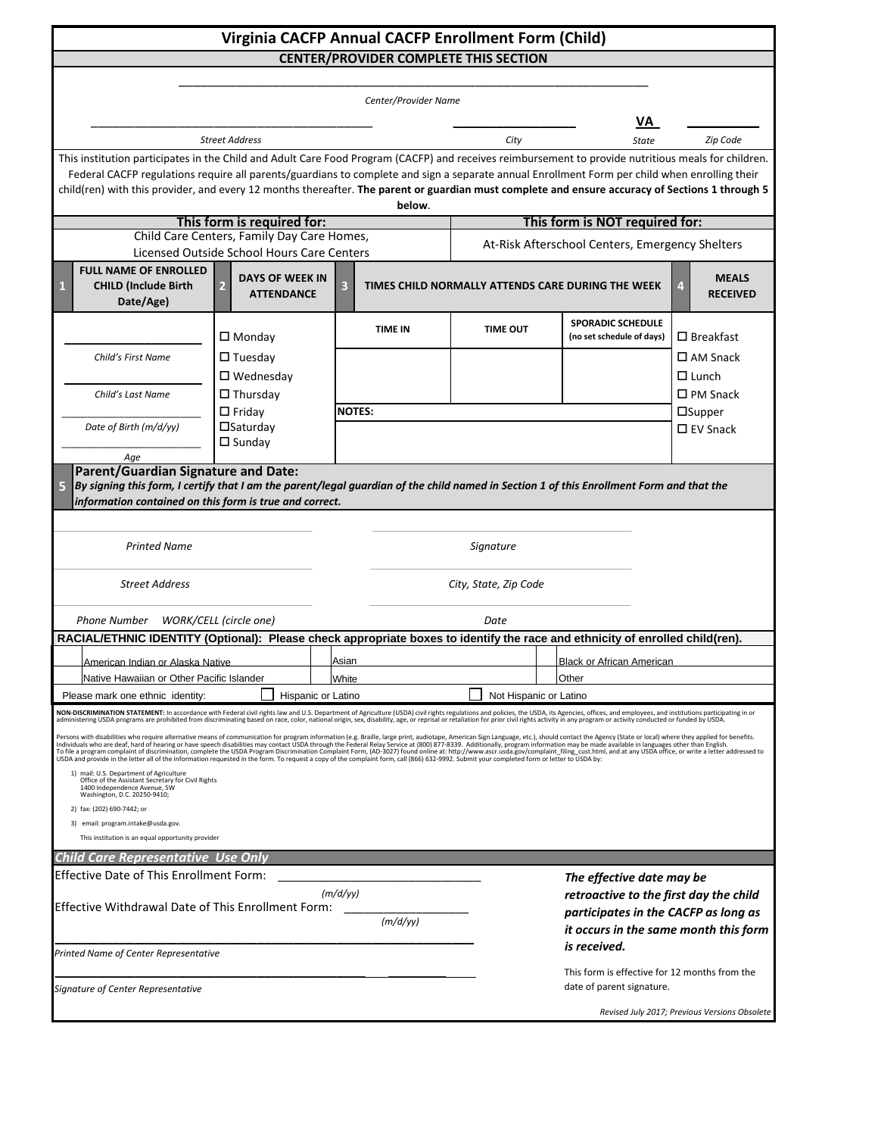| Virginia CACFP Annual CACFP Enrollment Form (Child)                                                                                                                                                                                                                                                                                                                                                                                                                                                                                                                                                                                                             |                                                  |                |                                                               |                 |                           |                                                       |                                                 |                                               |  |  |  |  |
|-----------------------------------------------------------------------------------------------------------------------------------------------------------------------------------------------------------------------------------------------------------------------------------------------------------------------------------------------------------------------------------------------------------------------------------------------------------------------------------------------------------------------------------------------------------------------------------------------------------------------------------------------------------------|--------------------------------------------------|----------------|---------------------------------------------------------------|-----------------|---------------------------|-------------------------------------------------------|-------------------------------------------------|-----------------------------------------------|--|--|--|--|
|                                                                                                                                                                                                                                                                                                                                                                                                                                                                                                                                                                                                                                                                 |                                                  |                | <b>CENTER/PROVIDER COMPLETE THIS SECTION</b>                  |                 |                           |                                                       |                                                 |                                               |  |  |  |  |
|                                                                                                                                                                                                                                                                                                                                                                                                                                                                                                                                                                                                                                                                 |                                                  |                |                                                               |                 |                           |                                                       |                                                 |                                               |  |  |  |  |
|                                                                                                                                                                                                                                                                                                                                                                                                                                                                                                                                                                                                                                                                 |                                                  |                | Center/Provider Name                                          |                 |                           |                                                       |                                                 |                                               |  |  |  |  |
|                                                                                                                                                                                                                                                                                                                                                                                                                                                                                                                                                                                                                                                                 |                                                  |                |                                                               |                 | VA.                       |                                                       |                                                 |                                               |  |  |  |  |
|                                                                                                                                                                                                                                                                                                                                                                                                                                                                                                                                                                                                                                                                 | <b>Street Address</b>                            |                |                                                               |                 |                           | <b>State</b>                                          |                                                 | Zip Code                                      |  |  |  |  |
| This institution participates in the Child and Adult Care Food Program (CACFP) and receives reimbursement to provide nutritious meals for children.<br>Federal CACFP regulations require all parents/guardians to complete and sign a separate annual Enrollment Form per child when enrolling their                                                                                                                                                                                                                                                                                                                                                            |                                                  |                |                                                               |                 |                           |                                                       |                                                 |                                               |  |  |  |  |
| child(ren) with this provider, and every 12 months thereafter. The parent or guardian must complete and ensure accuracy of Sections 1 through 5                                                                                                                                                                                                                                                                                                                                                                                                                                                                                                                 |                                                  |                |                                                               |                 |                           |                                                       |                                                 |                                               |  |  |  |  |
|                                                                                                                                                                                                                                                                                                                                                                                                                                                                                                                                                                                                                                                                 | This form is required for:                       |                | below.                                                        |                 |                           | This form is NOT required for:                        |                                                 |                                               |  |  |  |  |
|                                                                                                                                                                                                                                                                                                                                                                                                                                                                                                                                                                                                                                                                 | Child Care Centers, Family Day Care Homes,       |                |                                                               |                 |                           |                                                       | At-Risk Afterschool Centers, Emergency Shelters |                                               |  |  |  |  |
|                                                                                                                                                                                                                                                                                                                                                                                                                                                                                                                                                                                                                                                                 | Licensed Outside School Hours Care Centers       |                |                                                               |                 |                           |                                                       |                                                 |                                               |  |  |  |  |
| <b>FULL NAME OF ENROLLED</b><br><b>CHILD (Include Birth</b><br>Date/Age)                                                                                                                                                                                                                                                                                                                                                                                                                                                                                                                                                                                        | <b>DAYS OF WEEK IN</b><br>2<br><b>ATTENDANCE</b> | 3              |                                                               |                 |                           | TIMES CHILD NORMALLY ATTENDS CARE DURING THE WEEK     |                                                 | <b>MEALS</b><br><b>RECEIVED</b>               |  |  |  |  |
|                                                                                                                                                                                                                                                                                                                                                                                                                                                                                                                                                                                                                                                                 | $\square$ Monday                                 | <b>TIME IN</b> |                                                               | <b>TIME OUT</b> |                           | <b>SPORADIC SCHEDULE</b><br>(no set schedule of days) | $\square$ Breakfast                             |                                               |  |  |  |  |
| Child's First Name                                                                                                                                                                                                                                                                                                                                                                                                                                                                                                                                                                                                                                              | $\Box$ Tuesday                                   |                |                                                               |                 |                           |                                                       |                                                 | $\square$ AM Snack                            |  |  |  |  |
|                                                                                                                                                                                                                                                                                                                                                                                                                                                                                                                                                                                                                                                                 | $\square$ Wednesday                              |                |                                                               |                 |                           |                                                       | $\Box$ Lunch                                    |                                               |  |  |  |  |
| Child's Last Name                                                                                                                                                                                                                                                                                                                                                                                                                                                                                                                                                                                                                                               | $\Box$ Thursday                                  |                |                                                               |                 |                           |                                                       | $\square$ PM Snack                              |                                               |  |  |  |  |
|                                                                                                                                                                                                                                                                                                                                                                                                                                                                                                                                                                                                                                                                 | $\Box$ Friday                                    | <b>NOTES:</b>  |                                                               |                 |                           |                                                       |                                                 | $\square$ Supper                              |  |  |  |  |
| Date of Birth (m/d/yy)                                                                                                                                                                                                                                                                                                                                                                                                                                                                                                                                                                                                                                          | $\square$ Saturday<br>$\square$ Sunday           |                |                                                               |                 |                           |                                                       | $\Box$ EV Snack                                 |                                               |  |  |  |  |
| Age                                                                                                                                                                                                                                                                                                                                                                                                                                                                                                                                                                                                                                                             |                                                  |                |                                                               |                 |                           |                                                       |                                                 |                                               |  |  |  |  |
| <b>Parent/Guardian Signature and Date:</b><br>By signing this form, I certify that I am the parent/legal guardian of the child named in Section 1 of this Enrollment Form and that the                                                                                                                                                                                                                                                                                                                                                                                                                                                                          |                                                  |                |                                                               |                 |                           |                                                       |                                                 |                                               |  |  |  |  |
| information contained on this form is true and correct.                                                                                                                                                                                                                                                                                                                                                                                                                                                                                                                                                                                                         |                                                  |                |                                                               |                 |                           |                                                       |                                                 |                                               |  |  |  |  |
| <b>Printed Name</b>                                                                                                                                                                                                                                                                                                                                                                                                                                                                                                                                                                                                                                             |                                                  |                |                                                               |                 | Signature                 |                                                       |                                                 |                                               |  |  |  |  |
| <b>Street Address</b>                                                                                                                                                                                                                                                                                                                                                                                                                                                                                                                                                                                                                                           |                                                  |                | City, State, Zip Code                                         |                 |                           |                                                       |                                                 |                                               |  |  |  |  |
| Phone Number WORK/CELL (circle one)                                                                                                                                                                                                                                                                                                                                                                                                                                                                                                                                                                                                                             |                                                  |                |                                                               |                 | Date                      |                                                       |                                                 |                                               |  |  |  |  |
| RACIAL/ETHNIC IDENTITY (Optional): Please check appropriate boxes to identify the race and ethnicity of enrolled child(ren).                                                                                                                                                                                                                                                                                                                                                                                                                                                                                                                                    |                                                  |                |                                                               |                 |                           |                                                       |                                                 |                                               |  |  |  |  |
| American Indian or Algalya Nativo                                                                                                                                                                                                                                                                                                                                                                                                                                                                                                                                                                                                                               |                                                  |                | ∆eian                                                         |                 | Rlack or African American |                                                       |                                                 |                                               |  |  |  |  |
| Native Hawaiian or Other Pacific Islander                                                                                                                                                                                                                                                                                                                                                                                                                                                                                                                                                                                                                       |                                                  |                | White                                                         |                 | Other                     |                                                       |                                                 |                                               |  |  |  |  |
| Please mark one ethnic identity:                                                                                                                                                                                                                                                                                                                                                                                                                                                                                                                                                                                                                                | Hispanic or Latino                               |                |                                                               |                 | Not Hispanic or Latino    |                                                       |                                                 |                                               |  |  |  |  |
| NON-DISCRIMINATION STATEMENT: In accordance with Federal civil rights law and U.S. Department of Agriculture (USDA) civil rights regulations and policies, the USDA, its Agencies, offices, and employees, and institutions pa<br>administering USDA programs are prohibited from discriminating based on race, color, national origin, sex, disability, age, or reprisal or retaliation for prior civil rights activity in any program or activity conducted or                                                                                                                                                                                                |                                                  |                |                                                               |                 |                           |                                                       |                                                 |                                               |  |  |  |  |
| Persons with disabilities who require alternative means of communication for program information (e.g. Braille, large print, audiotape, American Sign Language, etc.), should contact the Agency (State or local) where they a<br>To file a program complaint of discrimination, complete the USDA Program Discrimination Complaint Form, (AD-3027) found online at: http://www.ascr.usda.gov/complaint_filing_cust.html, and at any USDA office, or write a let<br>USDA and provide in the letter all of the information requested in the form. To request a copy of the complaint form, call (866) 632-9992. Submit your completed form or letter to USDA by: |                                                  |                |                                                               |                 |                           |                                                       |                                                 |                                               |  |  |  |  |
| 1) mail: U.S. Department of Agriculture<br>Office of the Assistant Secretary for Civil Rights<br>1400 Independence Avenue, SW<br>Washington, D.C. 20250-9410;                                                                                                                                                                                                                                                                                                                                                                                                                                                                                                   |                                                  |                |                                                               |                 |                           |                                                       |                                                 |                                               |  |  |  |  |
| 2) fax: (202) 690-7442; or                                                                                                                                                                                                                                                                                                                                                                                                                                                                                                                                                                                                                                      |                                                  |                |                                                               |                 |                           |                                                       |                                                 |                                               |  |  |  |  |
| 3) email: program.intake@usda.gov.<br>This institution is an equal opportunity provider                                                                                                                                                                                                                                                                                                                                                                                                                                                                                                                                                                         |                                                  |                |                                                               |                 |                           |                                                       |                                                 |                                               |  |  |  |  |
| <b>Child Care Representative Use Only</b>                                                                                                                                                                                                                                                                                                                                                                                                                                                                                                                                                                                                                       |                                                  |                |                                                               |                 |                           |                                                       |                                                 |                                               |  |  |  |  |
| <b>Effective Date of This Enrollment Form:</b>                                                                                                                                                                                                                                                                                                                                                                                                                                                                                                                                                                                                                  |                                                  |                |                                                               |                 |                           | The effective date may be                             |                                                 |                                               |  |  |  |  |
|                                                                                                                                                                                                                                                                                                                                                                                                                                                                                                                                                                                                                                                                 | (m/d/yy)                                         |                |                                                               |                 |                           |                                                       |                                                 | retroactive to the first day the child        |  |  |  |  |
| Effective Withdrawal Date of This Enrollment Form:                                                                                                                                                                                                                                                                                                                                                                                                                                                                                                                                                                                                              |                                                  |                |                                                               |                 |                           | participates in the CACFP as long as                  |                                                 |                                               |  |  |  |  |
|                                                                                                                                                                                                                                                                                                                                                                                                                                                                                                                                                                                                                                                                 |                                                  |                | (m/d/yy)                                                      |                 |                           | it occurs in the same month this form                 |                                                 |                                               |  |  |  |  |
| Printed Name of Center Representative                                                                                                                                                                                                                                                                                                                                                                                                                                                                                                                                                                                                                           |                                                  |                | is received.<br>This form is effective for 12 months from the |                 |                           |                                                       |                                                 |                                               |  |  |  |  |
| Signature of Center Representative                                                                                                                                                                                                                                                                                                                                                                                                                                                                                                                                                                                                                              |                                                  |                |                                                               |                 |                           | date of parent signature.                             |                                                 |                                               |  |  |  |  |
|                                                                                                                                                                                                                                                                                                                                                                                                                                                                                                                                                                                                                                                                 |                                                  |                |                                                               |                 |                           |                                                       |                                                 | Revised July 2017; Previous Versions Obsolete |  |  |  |  |